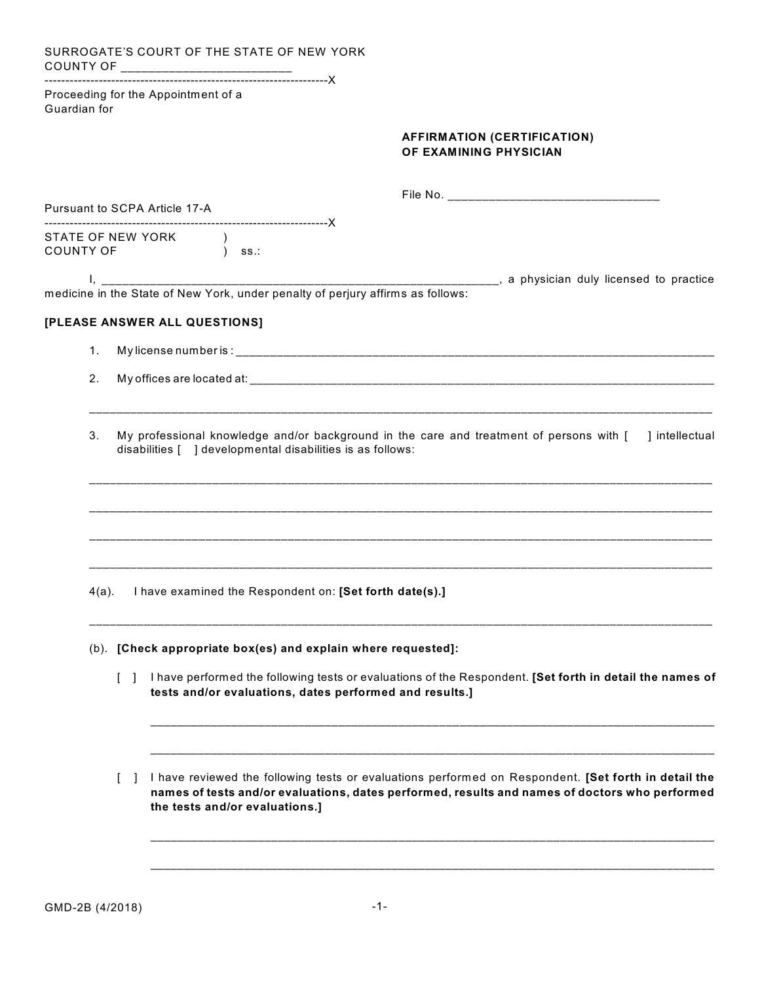SURROGATE'S COURT OF THE STATE OF NEW YORK COUNTY OF \_\_\_\_\_\_\_\_\_\_\_\_\_\_\_\_\_\_\_\_\_\_\_\_\_\_

--------------------------------------------------------------------X Proceeding for the Appointment of a Guardian for

## **AFFIRMATION (CERTIFICATION) OF EXAMINING PHYSICIAN**

| Pursuant to SCPA Article 17-A |        |                                                                                                                                                                                                                                          |
|-------------------------------|--------|------------------------------------------------------------------------------------------------------------------------------------------------------------------------------------------------------------------------------------------|
|                               |        | STATE OF NEW YORK (1)<br>COUNTY OF ( ) ss.:                                                                                                                                                                                              |
|                               |        |                                                                                                                                                                                                                                          |
|                               |        | [PLEASE ANSWER ALL QUESTIONS]                                                                                                                                                                                                            |
| 1 <sub>1</sub>                |        |                                                                                                                                                                                                                                          |
| 2.                            |        |                                                                                                                                                                                                                                          |
| 3.                            |        | My professional knowledge and/or background in the care and treatment of persons with [ ] intellectual<br>disabilities [ ] developmental disabilities is as follows:                                                                     |
|                               |        |                                                                                                                                                                                                                                          |
| $4(a)$ .                      |        | I have examined the Respondent on: [Set forth date(s).]                                                                                                                                                                                  |
|                               |        | (b). [Check appropriate box(es) and explain where requested]:                                                                                                                                                                            |
|                               |        | [ ] I have performed the following tests or evaluations of the Respondent. [Set forth in detail the names of<br>tests and/or evaluations, dates performed and results.]                                                                  |
|                               | $\Box$ | I have reviewed the following tests or evaluations performed on Respondent. [Set forth in detail the<br>names of tests and/or evaluations, dates performed, results and names of doctors who performed<br>the tests and/or evaluations.] |
|                               |        |                                                                                                                                                                                                                                          |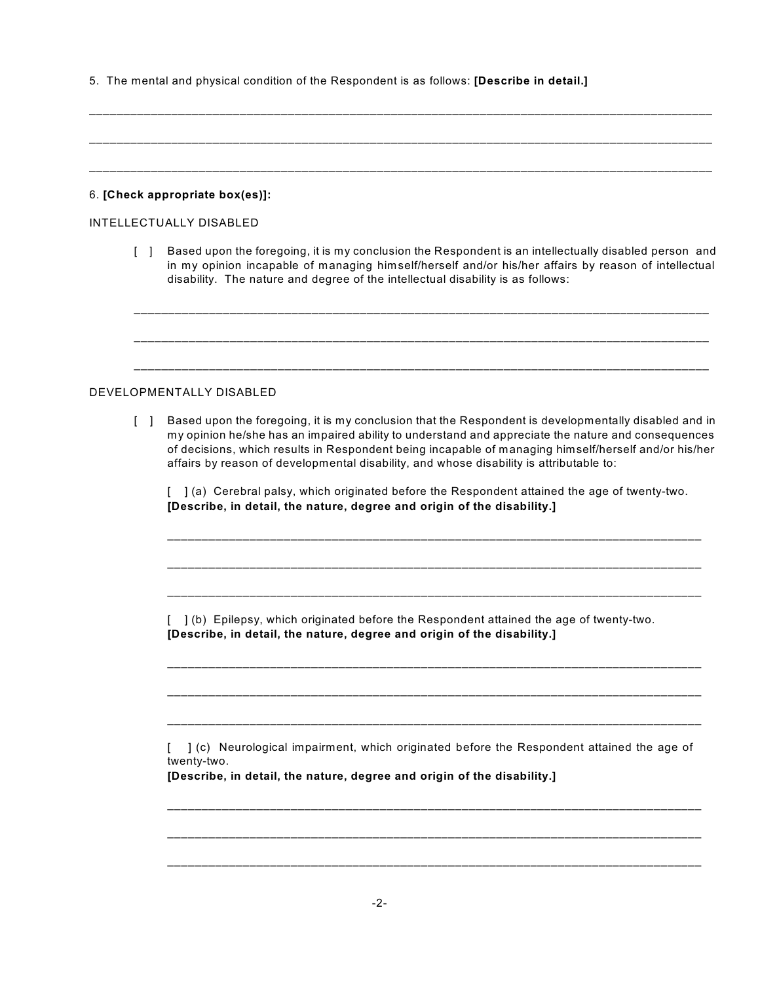5. The mental and physical condition of the Respondent is as follows: **[Describe in detail.]**

\_\_\_\_\_\_\_\_\_\_\_\_\_\_\_\_\_\_\_\_\_\_\_\_\_\_\_\_\_\_\_\_\_\_\_\_\_\_\_\_\_\_\_\_\_\_\_\_\_\_\_\_\_\_\_\_\_\_\_\_\_\_\_\_\_\_\_\_\_\_\_\_\_\_\_\_\_\_\_\_\_\_\_\_\_\_\_\_\_\_\_

|                                |                                   | 6. [Check appropriate box(es)]:                                                                                                                                                                                                                                                                                                                                                                                                                                                                                                                                                            |  |  |
|--------------------------------|-----------------------------------|--------------------------------------------------------------------------------------------------------------------------------------------------------------------------------------------------------------------------------------------------------------------------------------------------------------------------------------------------------------------------------------------------------------------------------------------------------------------------------------------------------------------------------------------------------------------------------------------|--|--|
| <b>INTELLECTUALLY DISABLED</b> |                                   |                                                                                                                                                                                                                                                                                                                                                                                                                                                                                                                                                                                            |  |  |
|                                | $\Box$                            | Based upon the foregoing, it is my conclusion the Respondent is an intellectually disabled person and<br>in my opinion incapable of managing himself/herself and/or his/her affairs by reason of intellectual<br>disability. The nature and degree of the intellectual disability is as follows:                                                                                                                                                                                                                                                                                           |  |  |
|                                |                                   |                                                                                                                                                                                                                                                                                                                                                                                                                                                                                                                                                                                            |  |  |
|                                |                                   | DEVELOPMENTALLY DISABLED                                                                                                                                                                                                                                                                                                                                                                                                                                                                                                                                                                   |  |  |
|                                | $\begin{bmatrix} 1 \end{bmatrix}$ | Based upon the foregoing, it is my conclusion that the Respondent is developmentally disabled and in<br>my opinion he/she has an impaired ability to understand and appreciate the nature and consequences<br>of decisions, which results in Respondent being incapable of managing himself/herself and/or his/her<br>affairs by reason of developmental disability, and whose disability is attributable to:<br>[ ] (a) Cerebral palsy, which originated before the Respondent attained the age of twenty-two.<br>[Describe, in detail, the nature, degree and origin of the disability.] |  |  |
|                                |                                   | ] (b) Epilepsy, which originated before the Respondent attained the age of twenty-two.<br>[Describe, in detail, the nature, degree and origin of the disability.]                                                                                                                                                                                                                                                                                                                                                                                                                          |  |  |
|                                |                                   | ] (c) Neurological impairment, which originated before the Respondent attained the age of<br>twenty-two.<br>[Describe, in detail, the nature, degree and origin of the disability.]                                                                                                                                                                                                                                                                                                                                                                                                        |  |  |
|                                |                                   | $-2-$                                                                                                                                                                                                                                                                                                                                                                                                                                                                                                                                                                                      |  |  |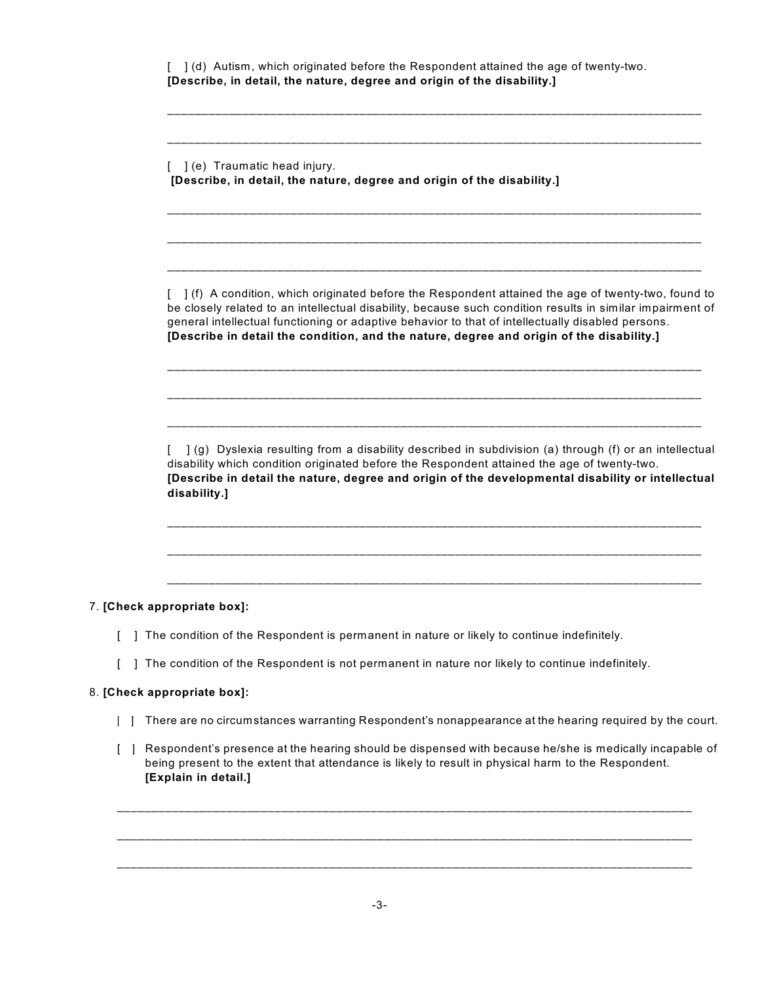| [ ] (e) Traumatic head injury.<br>[Describe, in detail, the nature, degree and origin of the disability.]                                                                                                                                                                                                                                                                                                          |
|--------------------------------------------------------------------------------------------------------------------------------------------------------------------------------------------------------------------------------------------------------------------------------------------------------------------------------------------------------------------------------------------------------------------|
| [ ] (f) A condition, which originated before the Respondent attained the age of twenty-two, found to<br>be closely related to an intellectual disability, because such condition results in similar impairment of<br>general intellectual functioning or adaptive behavior to that of intellectually disabled persons.<br>[Describe in detail the condition, and the nature, degree and origin of the disability.] |
| ] (g) Dyslexia resulting from a disability described in subdivision (a) through (f) or an intellectual<br>disability which condition originated before the Respondent attained the age of twenty-two.<br>[Describe in detail the nature, degree and origin of the developmental disability or intellectual<br>disability.]                                                                                         |
|                                                                                                                                                                                                                                                                                                                                                                                                                    |

## 8. **[Check appropriate box]:**

7. **[Check appropriate box]:**

- [ ] There are no circumstances warranting Respondent's nonappearance at the hearing required by the court.
- [ ] Respondent's presence at the hearing should be dispensed with because he/she is medically incapable of being present to the extent that attendance is likely to result in physical harm to the Respondent. **[Explain in detail.]**

\_\_\_\_\_\_\_\_\_\_\_\_\_\_\_\_\_\_\_\_\_\_\_\_\_\_\_\_\_\_\_\_\_\_\_\_\_\_\_\_\_\_\_\_\_\_\_\_\_\_\_\_\_\_\_\_\_\_\_\_\_\_\_\_\_\_\_\_\_\_\_\_\_\_\_\_\_\_\_\_\_\_\_\_

\_\_\_\_\_\_\_\_\_\_\_\_\_\_\_\_\_\_\_\_\_\_\_\_\_\_\_\_\_\_\_\_\_\_\_\_\_\_\_\_\_\_\_\_\_\_\_\_\_\_\_\_\_\_\_\_\_\_\_\_\_\_\_\_\_\_\_\_\_\_\_\_\_\_\_\_\_\_\_\_\_\_\_\_

\_\_\_\_\_\_\_\_\_\_\_\_\_\_\_\_\_\_\_\_\_\_\_\_\_\_\_\_\_\_\_\_\_\_\_\_\_\_\_\_\_\_\_\_\_\_\_\_\_\_\_\_\_\_\_\_\_\_\_\_\_\_\_\_\_\_\_\_\_\_\_\_\_\_\_\_\_\_\_\_\_\_\_\_

-3-